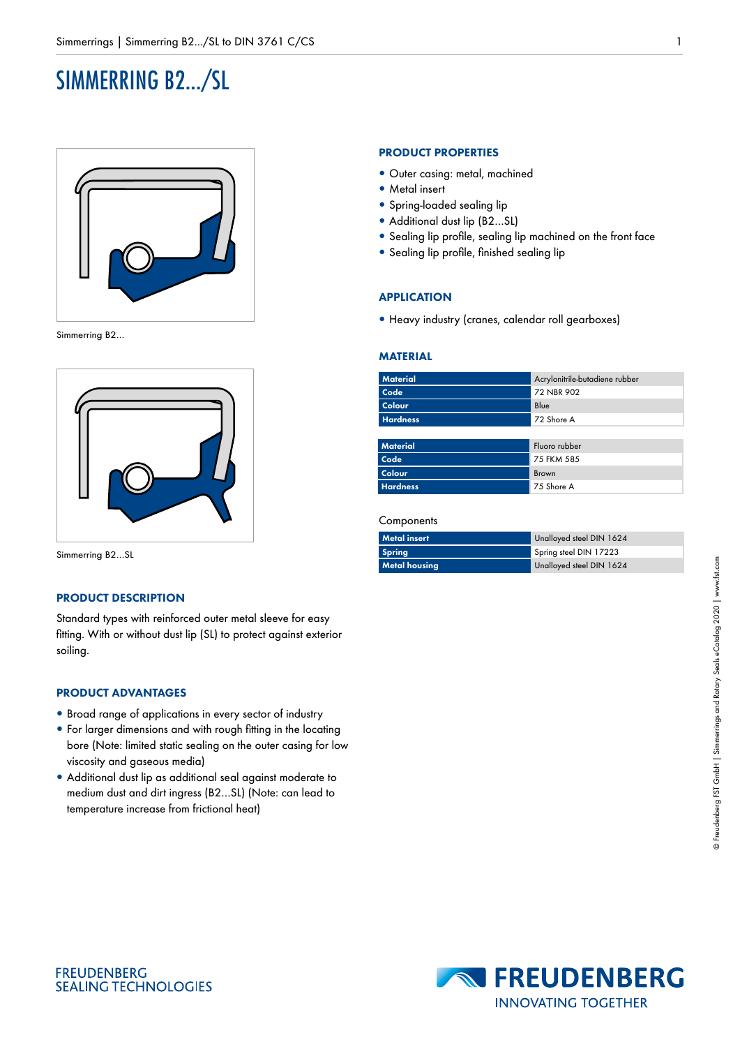# SIMMERRING B2.../SL



Simmerring B2…



Simmerring B2…SL

## **PRODUCT DESCRIPTION**

Standard types with reinforced outer metal sleeve for easy fitting. With or without dust lip (SL) to protect against exterior soiling.

## **PRODUCT ADVANTAGES**

- Broad range of applications in every sector of industry
- For larger dimensions and with rough fitting in the locating bore (Note: limited static sealing on the outer casing for low viscosity and gaseous media)
- Additional dust lip as additional seal against moderate to medium dust and dirt ingress (B2…SL) (Note: can lead to temperature increase from frictional heat)

## **PRODUCT PROPERTIES**

- Outer casing: metal, machined
- Metal insert
- Spring-loaded sealing lip
- Additional dust lip (B2...SL)
- Sealing lip profile, sealing lip machined on the front face
- Sealing lip profile, finished sealing lip

### **APPLICATION**

• Heavy industry (cranes, calendar roll gearboxes)

#### **MATERIAL**

| <b>Material</b> | Acrylonitrile-butadiene rubber |
|-----------------|--------------------------------|
| Code            | 72 NBR 902                     |
| Colour          | Blue                           |
| <b>Hardness</b> | 72 Shore A                     |
|                 |                                |
| <b>Material</b> | Fluoro rubber                  |
| Code            | 75 FKM 585                     |
| Colour          | <b>Brown</b>                   |
| <b>Hardness</b> | 75 Shore A                     |

#### **Components**

| <b>Metal</b> insert  | Unalloyed steel DIN 1624 |
|----------------------|--------------------------|
| <b>Spring</b>        | Spring steel DIN 17223   |
| <b>Metal housing</b> | Unalloyed steel DIN 1624 |



**FREUDENBERG SEALING TECHNOLOGIES**